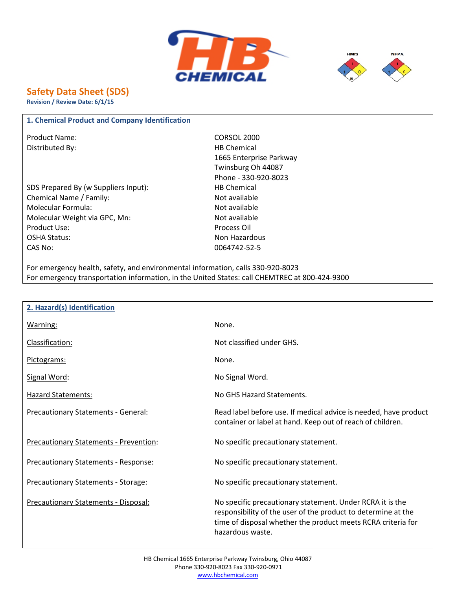



# **Safety Data Sheet (SDS)**

**Revision / Review Date: 6/1/15**

### **1. Chemical Product and Company Identification**

Product Name: CORSOL 2000 Distributed By: Notice and the Material HB Chemical

SDS Prepared By (w Suppliers Input): HB Chemical Chemical Name / Family: Not available Molecular Formula: Not available Molecular Weight via GPC, Mn: Not available Product Use: Product Use: Process Oil OSHA Status: Non Hazardous CAS No: 0064742-52-5

1665 Enterprise Parkway Twinsburg Oh 44087 Phone - 330-920-8023

For emergency health, safety, and environmental information, calls 330-920-8023 For emergency transportation information, in the United States: call CHEMTREC at 800-424-9300

| 2. Hazard(s) Identification                 |                                                                                                                                                                                                                |
|---------------------------------------------|----------------------------------------------------------------------------------------------------------------------------------------------------------------------------------------------------------------|
| Warning:                                    | None.                                                                                                                                                                                                          |
| Classification:                             | Not classified under GHS.                                                                                                                                                                                      |
| Pictograms:                                 | None.                                                                                                                                                                                                          |
| Signal Word:                                | No Signal Word.                                                                                                                                                                                                |
| Hazard Statements:                          | No GHS Hazard Statements.                                                                                                                                                                                      |
| Precautionary Statements - General:         | Read label before use. If medical advice is needed, have product<br>container or label at hand. Keep out of reach of children.                                                                                 |
| Precautionary Statements - Prevention:      | No specific precautionary statement.                                                                                                                                                                           |
| <b>Precautionary Statements - Response:</b> | No specific precautionary statement.                                                                                                                                                                           |
| Precautionary Statements - Storage:         | No specific precautionary statement.                                                                                                                                                                           |
| <b>Precautionary Statements - Disposal:</b> | No specific precautionary statement. Under RCRA it is the<br>responsibility of the user of the product to determine at the<br>time of disposal whether the product meets RCRA criteria for<br>hazardous waste. |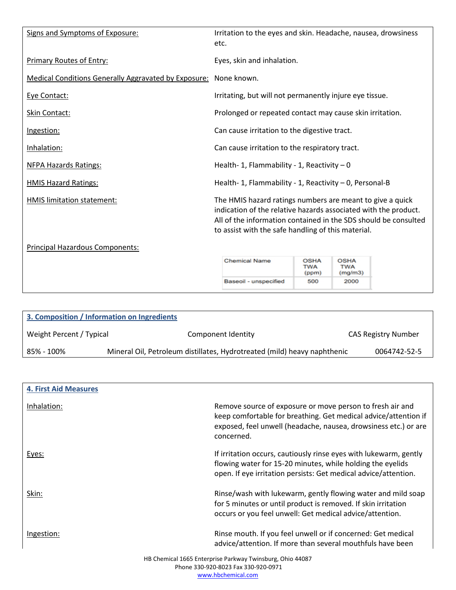| Signs and Symptoms of Exposure:                             | Irritation to the eyes and skin. Headache, nausea, drowsiness<br>etc.                                                                                                                                                                                 |                                    |                               |  |  |  |  |
|-------------------------------------------------------------|-------------------------------------------------------------------------------------------------------------------------------------------------------------------------------------------------------------------------------------------------------|------------------------------------|-------------------------------|--|--|--|--|
| <b>Primary Routes of Entry:</b>                             | Eyes, skin and inhalation.                                                                                                                                                                                                                            |                                    |                               |  |  |  |  |
| <b>Medical Conditions Generally Aggravated by Exposure:</b> | None known.                                                                                                                                                                                                                                           |                                    |                               |  |  |  |  |
| Eye Contact:                                                | Irritating, but will not permanently injure eye tissue.                                                                                                                                                                                               |                                    |                               |  |  |  |  |
| Skin Contact:                                               | Prolonged or repeated contact may cause skin irritation.                                                                                                                                                                                              |                                    |                               |  |  |  |  |
| Ingestion:                                                  | Can cause irritation to the digestive tract.                                                                                                                                                                                                          |                                    |                               |  |  |  |  |
| Inhalation:                                                 | Can cause irritation to the respiratory tract.                                                                                                                                                                                                        |                                    |                               |  |  |  |  |
| <b>NFPA Hazards Ratings:</b>                                | Health- 1, Flammability - 1, Reactivity $-0$                                                                                                                                                                                                          |                                    |                               |  |  |  |  |
| <b>HMIS Hazard Ratings:</b>                                 | Health- 1, Flammability - 1, Reactivity - 0, Personal-B                                                                                                                                                                                               |                                    |                               |  |  |  |  |
| HMIS limitation statement:                                  | The HMIS hazard ratings numbers are meant to give a quick<br>indication of the relative hazards associated with the product.<br>All of the information contained in the SDS should be consulted<br>to assist with the safe handling of this material. |                                    |                               |  |  |  |  |
| Principal Hazardous Components:                             |                                                                                                                                                                                                                                                       |                                    |                               |  |  |  |  |
|                                                             | <b>Chemical Name</b>                                                                                                                                                                                                                                  | <b>OSHA</b><br><b>TWA</b><br>(ppm) | <b>OSHA</b><br>TWA<br>(mg/m3) |  |  |  |  |
|                                                             | Baseoil - unspecified                                                                                                                                                                                                                                 | 500                                | 2000                          |  |  |  |  |

| 3. Composition / Information on Ingredients |                                                                          |                            |
|---------------------------------------------|--------------------------------------------------------------------------|----------------------------|
| Weight Percent / Typical                    | Component Identity                                                       | <b>CAS Registry Number</b> |
| 85% - 100%                                  | Mineral Oil, Petroleum distillates, Hydrotreated (mild) heavy naphthenic | 0064742-52-5               |

| <b>4. First Aid Measures</b>                              |                                                                                                                                                                                                               |  |  |
|-----------------------------------------------------------|---------------------------------------------------------------------------------------------------------------------------------------------------------------------------------------------------------------|--|--|
| Inhalation:                                               | Remove source of exposure or move person to fresh air and<br>keep comfortable for breathing. Get medical advice/attention if<br>exposed, feel unwell (headache, nausea, drowsiness etc.) or are<br>concerned. |  |  |
| Eyes:                                                     | If irritation occurs, cautiously rinse eyes with lukewarm, gently<br>flowing water for 15-20 minutes, while holding the eyelids<br>open. If eye irritation persists: Get medical advice/attention.            |  |  |
| Skin:                                                     | Rinse/wash with lukewarm, gently flowing water and mild soap<br>for 5 minutes or until product is removed. If skin irritation<br>occurs or you feel unwell: Get medical advice/attention.                     |  |  |
| Ingestion:                                                | Rinse mouth. If you feel unwell or if concerned: Get medical<br>advice/attention. If more than several mouthfuls have been                                                                                    |  |  |
| HB Chemical 1665 Enterprise Parkway Twinsburg, Ohio 44087 |                                                                                                                                                                                                               |  |  |

Phone 330-920-8023 Fax 330-920-0971 www.hbchemical.com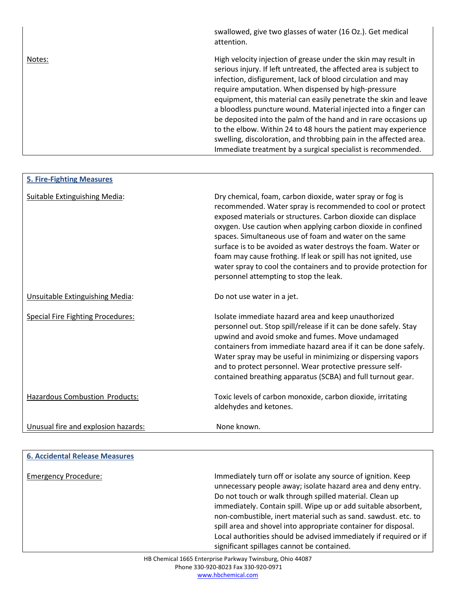|        | swallowed, give two glasses of water (16 Oz.). Get medical<br>attention.                                                                                                                                                                                                                                                                                                                                                                                                                                                                                                                                                                                                    |
|--------|-----------------------------------------------------------------------------------------------------------------------------------------------------------------------------------------------------------------------------------------------------------------------------------------------------------------------------------------------------------------------------------------------------------------------------------------------------------------------------------------------------------------------------------------------------------------------------------------------------------------------------------------------------------------------------|
| Notes: | High velocity injection of grease under the skin may result in<br>serious injury. If left untreated, the affected area is subject to<br>infection, disfigurement, lack of blood circulation and may<br>require amputation. When dispensed by high-pressure<br>equipment, this material can easily penetrate the skin and leave<br>a bloodless puncture wound. Material injected into a finger can<br>be deposited into the palm of the hand and in rare occasions up<br>to the elbow. Within 24 to 48 hours the patient may experience<br>swelling, discoloration, and throbbing pain in the affected area.<br>Immediate treatment by a surgical specialist is recommended. |

| <b>5. Fire-Fighting Measures</b>         |                                                                                                                                                                                                                                                                                                                                                                                                                                                                                                                                                                    |
|------------------------------------------|--------------------------------------------------------------------------------------------------------------------------------------------------------------------------------------------------------------------------------------------------------------------------------------------------------------------------------------------------------------------------------------------------------------------------------------------------------------------------------------------------------------------------------------------------------------------|
| <b>Suitable Extinguishing Media:</b>     | Dry chemical, foam, carbon dioxide, water spray or fog is<br>recommended. Water spray is recommended to cool or protect<br>exposed materials or structures. Carbon dioxide can displace<br>oxygen. Use caution when applying carbon dioxide in confined<br>spaces. Simultaneous use of foam and water on the same<br>surface is to be avoided as water destroys the foam. Water or<br>foam may cause frothing. If leak or spill has not ignited, use<br>water spray to cool the containers and to provide protection for<br>personnel attempting to stop the leak. |
| Unsuitable Extinguishing Media:          | Do not use water in a jet.                                                                                                                                                                                                                                                                                                                                                                                                                                                                                                                                         |
| <b>Special Fire Fighting Procedures:</b> | Isolate immediate hazard area and keep unauthorized<br>personnel out. Stop spill/release if it can be done safely. Stay<br>upwind and avoid smoke and fumes. Move undamaged<br>containers from immediate hazard area if it can be done safely.<br>Water spray may be useful in minimizing or dispersing vapors<br>and to protect personnel. Wear protective pressure self-<br>contained breathing apparatus (SCBA) and full turnout gear.                                                                                                                          |
| Hazardous Combustion Products:           | Toxic levels of carbon monoxide, carbon dioxide, irritating<br>aldehydes and ketones.                                                                                                                                                                                                                                                                                                                                                                                                                                                                              |
| Unusual fire and explosion hazards:      | None known.                                                                                                                                                                                                                                                                                                                                                                                                                                                                                                                                                        |

| <b>6. Accidental Release Measures</b> |                                                                                                                                                                                                                                                                                                                                                                                                                                                                                                                  |
|---------------------------------------|------------------------------------------------------------------------------------------------------------------------------------------------------------------------------------------------------------------------------------------------------------------------------------------------------------------------------------------------------------------------------------------------------------------------------------------------------------------------------------------------------------------|
| <b>Emergency Procedure:</b>           | Immediately turn off or isolate any source of ignition. Keep<br>unnecessary people away; isolate hazard area and deny entry.<br>Do not touch or walk through spilled material. Clean up<br>immediately. Contain spill. Wipe up or add suitable absorbent,<br>non-combustible, inert material such as sand. sawdust. etc. to<br>spill area and shovel into appropriate container for disposal.<br>Local authorities should be advised immediately if required or if<br>significant spillages cannot be contained. |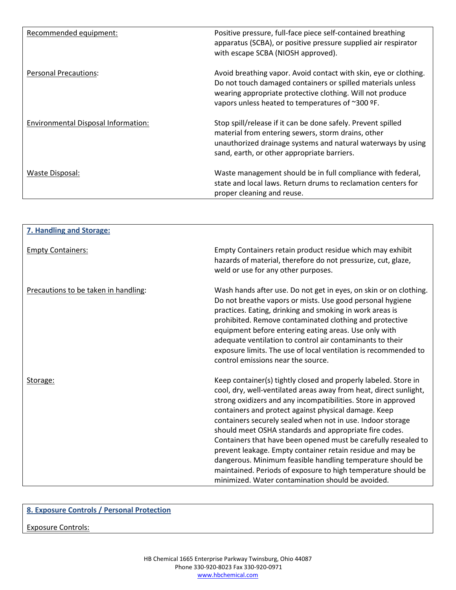| Recommended equipment:                     | Positive pressure, full-face piece self-contained breathing<br>apparatus (SCBA), or positive pressure supplied air respirator<br>with escape SCBA (NIOSH approved).                                                                              |
|--------------------------------------------|--------------------------------------------------------------------------------------------------------------------------------------------------------------------------------------------------------------------------------------------------|
| <b>Personal Precautions:</b>               | Avoid breathing vapor. Avoid contact with skin, eye or clothing.<br>Do not touch damaged containers or spilled materials unless<br>wearing appropriate protective clothing. Will not produce<br>vapors unless heated to temperatures of ~300 °F. |
| <b>Environmental Disposal Information:</b> | Stop spill/release if it can be done safely. Prevent spilled<br>material from entering sewers, storm drains, other<br>unauthorized drainage systems and natural waterways by using<br>sand, earth, or other appropriate barriers.                |
| Waste Disposal:                            | Waste management should be in full compliance with federal,<br>state and local laws. Return drums to reclamation centers for<br>proper cleaning and reuse.                                                                                       |

| <b>7. Handling and Storage:</b>      |                                                                                                                                                                                                                                                                                                                                                                                                                                                                                                                                                                                                                                                                                                           |
|--------------------------------------|-----------------------------------------------------------------------------------------------------------------------------------------------------------------------------------------------------------------------------------------------------------------------------------------------------------------------------------------------------------------------------------------------------------------------------------------------------------------------------------------------------------------------------------------------------------------------------------------------------------------------------------------------------------------------------------------------------------|
| <b>Empty Containers:</b>             | Empty Containers retain product residue which may exhibit<br>hazards of material, therefore do not pressurize, cut, glaze,<br>weld or use for any other purposes.                                                                                                                                                                                                                                                                                                                                                                                                                                                                                                                                         |
| Precautions to be taken in handling: | Wash hands after use. Do not get in eyes, on skin or on clothing.<br>Do not breathe vapors or mists. Use good personal hygiene<br>practices. Eating, drinking and smoking in work areas is<br>prohibited. Remove contaminated clothing and protective<br>equipment before entering eating areas. Use only with<br>adequate ventilation to control air contaminants to their<br>exposure limits. The use of local ventilation is recommended to<br>control emissions near the source.                                                                                                                                                                                                                      |
| Storage:                             | Keep container(s) tightly closed and properly labeled. Store in<br>cool, dry, well-ventilated areas away from heat, direct sunlight,<br>strong oxidizers and any incompatibilities. Store in approved<br>containers and protect against physical damage. Keep<br>containers securely sealed when not in use. Indoor storage<br>should meet OSHA standards and appropriate fire codes.<br>Containers that have been opened must be carefully resealed to<br>prevent leakage. Empty container retain residue and may be<br>dangerous. Minimum feasible handling temperature should be<br>maintained. Periods of exposure to high temperature should be<br>minimized. Water contamination should be avoided. |

## **8. Exposure Controls / Personal Protection**

Exposure Controls: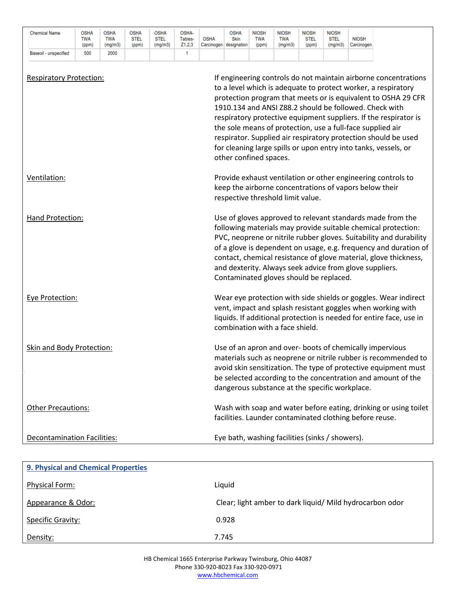| <b>Chemical Name</b>               | <b>OSHA</b><br>TWA<br>(ppm) | OSHA<br><b>TWA</b><br>(mg/m3) | <b>OSHA</b><br><b>STEL</b><br>(ppm) | <b>OSHA</b><br><b>STEL</b><br>(mg/m3) | OSHA-<br>Tables-<br>Z1,2,3 | <b>OSHA</b>                                                                                                                                                                                                                                                                                                     | <b>OSHA</b><br>Skin<br>Carcinogen designation               | NIOSH<br><b>TWA</b><br>(ppm) | <b>NIOSH</b><br><b>TWA</b><br>(mg/m3) | <b>NIOSH</b><br><b>STEL</b><br>(ppm) | <b>NIOSH</b><br><b>STEL</b><br>(mg/m3) | <b>NIOSH</b><br>Carcinogen                                                                                                                                                                                                                                                                                                                                                                                                                                                                                                         |
|------------------------------------|-----------------------------|-------------------------------|-------------------------------------|---------------------------------------|----------------------------|-----------------------------------------------------------------------------------------------------------------------------------------------------------------------------------------------------------------------------------------------------------------------------------------------------------------|-------------------------------------------------------------|------------------------------|---------------------------------------|--------------------------------------|----------------------------------------|------------------------------------------------------------------------------------------------------------------------------------------------------------------------------------------------------------------------------------------------------------------------------------------------------------------------------------------------------------------------------------------------------------------------------------------------------------------------------------------------------------------------------------|
| Baseoil - unspecified              | 500                         | 2000                          |                                     |                                       | 1                          |                                                                                                                                                                                                                                                                                                                 |                                                             |                              |                                       |                                      |                                        |                                                                                                                                                                                                                                                                                                                                                                                                                                                                                                                                    |
| <b>Respiratory Protection:</b>     |                             |                               |                                     |                                       |                            |                                                                                                                                                                                                                                                                                                                 |                                                             |                              |                                       |                                      |                                        | If engineering controls do not maintain airborne concentrations<br>to a level which is adequate to protect worker, a respiratory<br>protection program that meets or is equivalent to OSHA 29 CFR<br>1910.134 and ANSI Z88.2 should be followed. Check with<br>respiratory protective equipment suppliers. If the respirator is<br>the sole means of protection, use a full-face supplied air<br>respirator. Supplied air respiratory protection should be used<br>for cleaning large spills or upon entry into tanks, vessels, or |
| Ventilation:                       |                             |                               |                                     |                                       |                            |                                                                                                                                                                                                                                                                                                                 | other confined spaces.<br>respective threshold limit value. |                              |                                       |                                      |                                        | Provide exhaust ventilation or other engineering controls to<br>keep the airborne concentrations of vapors below their                                                                                                                                                                                                                                                                                                                                                                                                             |
| Hand Protection:                   |                             |                               |                                     |                                       |                            |                                                                                                                                                                                                                                                                                                                 | Contaminated gloves should be replaced.                     |                              |                                       |                                      |                                        | Use of gloves approved to relevant standards made from the<br>following materials may provide suitable chemical protection:<br>PVC, neoprene or nitrile rubber gloves. Suitability and durability<br>of a glove is dependent on usage, e.g. frequency and duration of<br>contact, chemical resistance of glove material, glove thickness,<br>and dexterity. Always seek advice from glove suppliers.                                                                                                                               |
| Eye Protection:                    |                             |                               |                                     |                                       |                            |                                                                                                                                                                                                                                                                                                                 | combination with a face shield.                             |                              |                                       |                                      |                                        | Wear eye protection with side shields or goggles. Wear indirect<br>vent, impact and splash resistant goggles when working with<br>liquids. If additional protection is needed for entire face, use in                                                                                                                                                                                                                                                                                                                              |
| <b>Skin and Body Protection:</b>   |                             |                               |                                     |                                       |                            | Use of an apron and over- boots of chemically impervious<br>materials such as neoprene or nitrile rubber is recommended to<br>avoid skin sensitization. The type of protective equipment must<br>be selected according to the concentration and amount of the<br>dangerous substance at the specific workplace. |                                                             |                              |                                       |                                      |                                        |                                                                                                                                                                                                                                                                                                                                                                                                                                                                                                                                    |
| <b>Other Precautions:</b>          |                             |                               |                                     |                                       |                            |                                                                                                                                                                                                                                                                                                                 |                                                             |                              |                                       |                                      |                                        | Wash with soap and water before eating, drinking or using toilet<br>facilities. Launder contaminated clothing before reuse.                                                                                                                                                                                                                                                                                                                                                                                                        |
| <b>Decontamination Facilities:</b> |                             |                               |                                     |                                       |                            |                                                                                                                                                                                                                                                                                                                 | Eye bath, washing facilities (sinks / showers).             |                              |                                       |                                      |                                        |                                                                                                                                                                                                                                                                                                                                                                                                                                                                                                                                    |

| 9. Physical and Chemical Properties |                                                          |  |  |  |
|-------------------------------------|----------------------------------------------------------|--|--|--|
| <b>Physical Form:</b>               | Liquid                                                   |  |  |  |
| Appearance & Odor:                  | Clear; light amber to dark liquid/ Mild hydrocarbon odor |  |  |  |
| Specific Gravity:                   | 0.928                                                    |  |  |  |
| Density:                            | 7.745                                                    |  |  |  |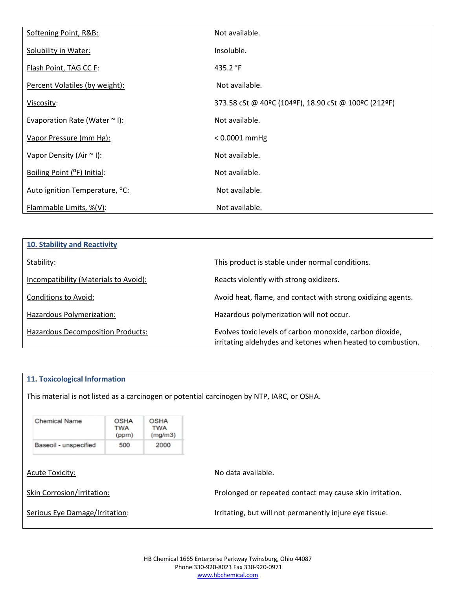| Softening Point, R&B:                      | Not available.                                       |
|--------------------------------------------|------------------------------------------------------|
| Solubility in Water:                       | Insoluble.                                           |
| Flash Point, TAG CC F:                     | 435.2 $\degree$ F                                    |
| Percent Volatiles (by weight):             | Not available.                                       |
| Viscosity:                                 | 373.58 cSt @ 40ºC (104ºF), 18.90 cSt @ 100ºC (212ºF) |
| Evaporation Rate (Water ~ I):              | Not available.                                       |
| Vapor Pressure (mm Hg):                    | $< 0.0001$ mmHg                                      |
| Vapor Density (Air ~ I):                   | Not available.                                       |
| Boiling Point (°F) Initial:                | Not available.                                       |
| Auto ignition Temperature, <sup>o</sup> C: | Not available.                                       |
| Flammable Limits, %(V):                    | Not available.                                       |

| 10. Stability and Reactivity             |                                                                                                                         |
|------------------------------------------|-------------------------------------------------------------------------------------------------------------------------|
| Stability:                               | This product is stable under normal conditions.                                                                         |
| Incompatibility (Materials to Avoid):    | Reacts violently with strong oxidizers.                                                                                 |
| Conditions to Avoid:                     | Avoid heat, flame, and contact with strong oxidizing agents.                                                            |
| Hazardous Polymerization:                | Hazardous polymerization will not occur.                                                                                |
| <b>Hazardous Decomposition Products:</b> | Evolves toxic levels of carbon monoxide, carbon dioxide,<br>irritating aldehydes and ketones when heated to combustion. |

### **11. Toxicological Information**

This material is not listed as a carcinogen or potential carcinogen by NTP, IARC, or OSHA.

| <b>Chemical Name</b>       | <b>OSHA</b><br>TWA<br>(ppm) | <b>OSHA</b><br>TWA<br>(mg/m3) |                                                          |
|----------------------------|-----------------------------|-------------------------------|----------------------------------------------------------|
| Baseoil - unspecified      | 500                         | 2000                          |                                                          |
| <b>Acute Toxicity:</b>     |                             |                               | No data available.                                       |
| Skin Corrosion/Irritation: |                             |                               | Prolonged or repeated contact may cause skin irritation. |

| Serious Eye Damage/Irritation: |
|--------------------------------|
|                                |

Irritating, but will not permanently injure eye tissue.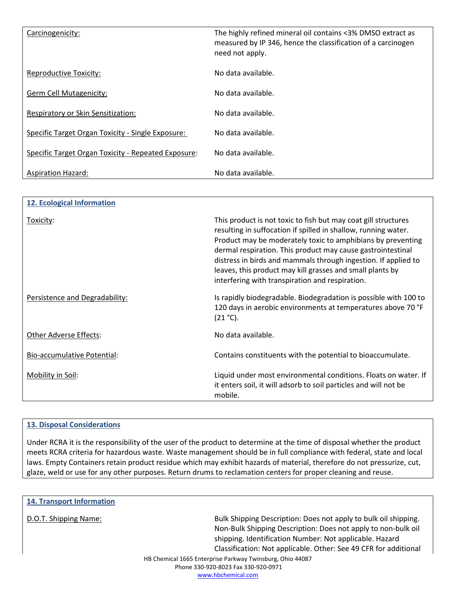| Carcinogenicity:                                    | The highly refined mineral oil contains <3% DMSO extract as<br>measured by IP 346, hence the classification of a carcinogen<br>need not apply. |
|-----------------------------------------------------|------------------------------------------------------------------------------------------------------------------------------------------------|
| <b>Reproductive Toxicity:</b>                       | No data available.                                                                                                                             |
| Germ Cell Mutagenicity:                             | No data available.                                                                                                                             |
| Respiratory or Skin Sensitization:                  | No data available.                                                                                                                             |
| Specific Target Organ Toxicity - Single Exposure:   | No data available.                                                                                                                             |
| Specific Target Organ Toxicity - Repeated Exposure: | No data available.                                                                                                                             |
| <b>Aspiration Hazard:</b>                           | No data available.                                                                                                                             |

| 12. Ecological Information     |                                                                                                                                                                                                                                                                                                                                                                                                                                                  |
|--------------------------------|--------------------------------------------------------------------------------------------------------------------------------------------------------------------------------------------------------------------------------------------------------------------------------------------------------------------------------------------------------------------------------------------------------------------------------------------------|
| Toxicity:                      | This product is not toxic to fish but may coat gill structures<br>resulting in suffocation if spilled in shallow, running water.<br>Product may be moderately toxic to amphibians by preventing<br>dermal respiration. This product may cause gastrointestinal<br>distress in birds and mammals through ingestion. If applied to<br>leaves, this product may kill grasses and small plants by<br>interfering with transpiration and respiration. |
| Persistence and Degradability: | Is rapidly biodegradable. Biodegradation is possible with 100 to<br>120 days in aerobic environments at temperatures above 70 °F<br>$(21 °C)$ .                                                                                                                                                                                                                                                                                                  |
| <b>Other Adverse Effects:</b>  | No data available.                                                                                                                                                                                                                                                                                                                                                                                                                               |
| Bio-accumulative Potential:    | Contains constituents with the potential to bioaccumulate.                                                                                                                                                                                                                                                                                                                                                                                       |
| Mobility in Soil:              | Liquid under most environmental conditions. Floats on water. If<br>it enters soil, it will adsorb to soil particles and will not be<br>mobile.                                                                                                                                                                                                                                                                                                   |

### **13. Disposal Considerations**

Under RCRA it is the responsibility of the user of the product to determine at the time of disposal whether the product meets RCRA criteria for hazardous waste. Waste management should be in full compliance with federal, state and local laws. Empty Containers retain product residue which may exhibit hazards of material, therefore do not pressurize, cut, glaze, weld or use for any other purposes. Return drums to reclamation centers for proper cleaning and reuse.

| <b>14. Transport Information</b> |                                                                                                                                                                                                                                                                 |
|----------------------------------|-----------------------------------------------------------------------------------------------------------------------------------------------------------------------------------------------------------------------------------------------------------------|
| D.O.T. Shipping Name:            | Bulk Shipping Description: Does not apply to bulk oil shipping.<br>Non-Bulk Shipping Description: Does not apply to non-bulk oil<br>shipping. Identification Number: Not applicable. Hazard<br>Classification: Not applicable. Other: See 49 CFR for additional |
|                                  | HB Chemical 1665 Enterprise Parkway Twinsburg, Ohio 44087                                                                                                                                                                                                       |
|                                  | Phone 330-920-8023 Fax 330-920-0971                                                                                                                                                                                                                             |

www.hbchemical.com